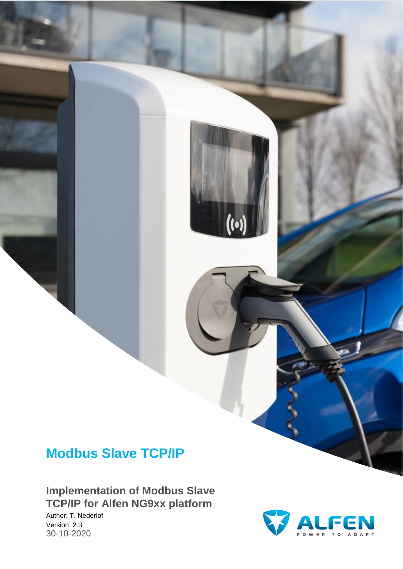# **Modbus Slave TCP/IP**

**Implementation of Modbus Slave TCP/IP for Alfen NG9xx platform**

Author: T. Nederlof Version: 2.3 30-10-2020

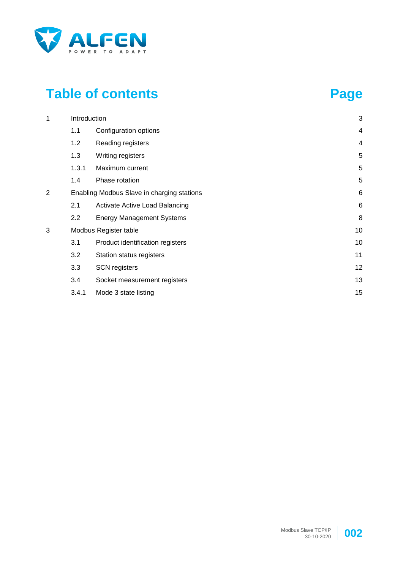

# **Table of contents Page**

| 1 | Introduction |                                            |                         |  |  |  |  |  |
|---|--------------|--------------------------------------------|-------------------------|--|--|--|--|--|
|   | 1.1          | Configuration options                      | $\overline{\mathbf{4}}$ |  |  |  |  |  |
|   | 1.2          | Reading registers                          | $\overline{4}$          |  |  |  |  |  |
|   | 1.3          | Writing registers                          | 5                       |  |  |  |  |  |
|   | 1.3.1        | Maximum current                            | 5                       |  |  |  |  |  |
|   | 1.4          | Phase rotation                             | 5                       |  |  |  |  |  |
| 2 |              | Enabling Modbus Slave in charging stations | 6                       |  |  |  |  |  |
|   | 2.1          | Activate Active Load Balancing             | 6                       |  |  |  |  |  |
|   | 2.2          | <b>Energy Management Systems</b>           | 8                       |  |  |  |  |  |
| 3 |              | Modbus Register table                      | 10                      |  |  |  |  |  |
|   | 3.1          | Product identification registers           | 10                      |  |  |  |  |  |
|   | 3.2          | Station status registers                   | 11                      |  |  |  |  |  |
|   | 3.3          | <b>SCN</b> registers                       | 12                      |  |  |  |  |  |
|   | 3.4          | Socket measurement registers               | 13                      |  |  |  |  |  |
|   | 3.4.1        | Mode 3 state listing                       | 15                      |  |  |  |  |  |

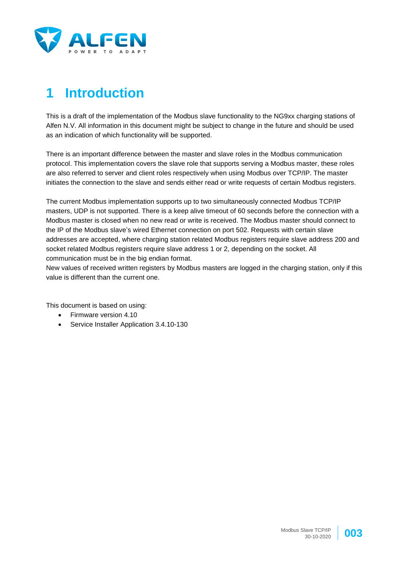

# **1 Introduction**

This is a draft of the implementation of the Modbus slave functionality to the NG9xx charging stations of Alfen N.V. All information in this document might be subject to change in the future and should be used as an indication of which functionality will be supported.

There is an important difference between the master and slave roles in the Modbus communication protocol. This implementation covers the slave role that supports serving a Modbus master, these roles are also referred to server and client roles respectively when using Modbus over TCP/IP. The master initiates the connection to the slave and sends either read or write requests of certain Modbus registers.

The current Modbus implementation supports up to two simultaneously connected Modbus TCP/IP masters, UDP is not supported. There is a keep alive timeout of 60 seconds before the connection with a Modbus master is closed when no new read or write is received. The Modbus master should connect to the IP of the Modbus slave's wired Ethernet connection on port 502. Requests with certain slave addresses are accepted, where charging station related Modbus registers require slave address 200 and socket related Modbus registers require slave address 1 or 2, depending on the socket. All communication must be in the big endian format.

New values of received written registers by Modbus masters are logged in the charging station, only if this value is different than the current one.

This document is based on using:

- Firmware version 4.10
- Service Installer Application 3.4.10-130

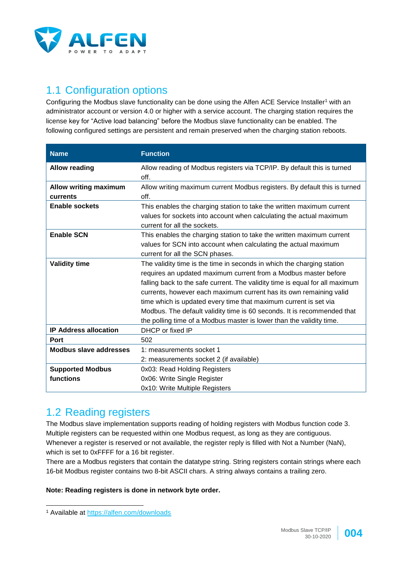

## 1.1 Configuration options

Configuring the Modbus slave functionality can be done using the Alfen ACE Service Installer<sup>1</sup> with an administrator account or version 4.0 or higher with a service account. The charging station requires the license key for "Active load balancing" before the Modbus slave functionality can be enabled. The following configured settings are persistent and remain preserved when the charging station reboots.

| <b>Name</b>                              | <b>Function</b>                                                                                                                                                                                                                                                                                                                                                                                                                                                                                                        |
|------------------------------------------|------------------------------------------------------------------------------------------------------------------------------------------------------------------------------------------------------------------------------------------------------------------------------------------------------------------------------------------------------------------------------------------------------------------------------------------------------------------------------------------------------------------------|
| <b>Allow reading</b>                     | Allow reading of Modbus registers via TCP/IP. By default this is turned<br>off.                                                                                                                                                                                                                                                                                                                                                                                                                                        |
| <b>Allow writing maximum</b><br>currents | Allow writing maximum current Modbus registers. By default this is turned<br>off.                                                                                                                                                                                                                                                                                                                                                                                                                                      |
| <b>Enable sockets</b>                    | This enables the charging station to take the written maximum current<br>values for sockets into account when calculating the actual maximum<br>current for all the sockets.                                                                                                                                                                                                                                                                                                                                           |
| <b>Enable SCN</b>                        | This enables the charging station to take the written maximum current<br>values for SCN into account when calculating the actual maximum<br>current for all the SCN phases.                                                                                                                                                                                                                                                                                                                                            |
| <b>Validity time</b>                     | The validity time is the time in seconds in which the charging station<br>requires an updated maximum current from a Modbus master before<br>falling back to the safe current. The validity time is equal for all maximum<br>currents, however each maximum current has its own remaining valid<br>time which is updated every time that maximum current is set via<br>Modbus. The default validity time is 60 seconds. It is recommended that<br>the polling time of a Modbus master is lower than the validity time. |
| <b>IP Address allocation</b>             | DHCP or fixed IP                                                                                                                                                                                                                                                                                                                                                                                                                                                                                                       |
| <b>Port</b>                              | 502                                                                                                                                                                                                                                                                                                                                                                                                                                                                                                                    |
| Modbus slave addresses                   | 1: measurements socket 1<br>2: measurements socket 2 (if available)                                                                                                                                                                                                                                                                                                                                                                                                                                                    |
| <b>Supported Modbus</b>                  | 0x03: Read Holding Registers                                                                                                                                                                                                                                                                                                                                                                                                                                                                                           |
| functions                                | 0x06: Write Single Register<br>0x10: Write Multiple Registers                                                                                                                                                                                                                                                                                                                                                                                                                                                          |

#### 1.2 Reading registers

The Modbus slave implementation supports reading of holding registers with Modbus function code 3. Multiple registers can be requested within one Modbus request, as long as they are contiguous. Whenever a register is reserved or not available, the register reply is filled with Not a Number (NaN), which is set to 0xFFFF for a 16 bit register.

There are a Modbus registers that contain the datatype string. String registers contain strings where each 16-bit Modbus register contains two 8-bit ASCII chars. A string always contains a trailing zero.

#### **Note: Reading registers is done in network byte order.**

l



<sup>1</sup> Available at<https://alfen.com/downloads>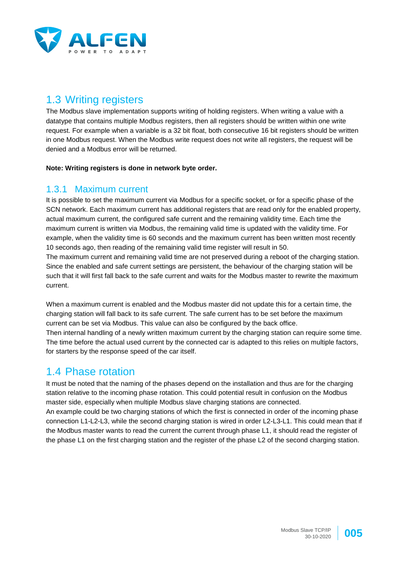

## 1.3 Writing registers

The Modbus slave implementation supports writing of holding registers. When writing a value with a datatype that contains multiple Modbus registers, then all registers should be written within one write request. For example when a variable is a 32 bit float, both consecutive 16 bit registers should be written in one Modbus request. When the Modbus write request does not write all registers, the request will be denied and a Modbus error will be returned.

**Note: Writing registers is done in network byte order.**

#### 1.3.1 Maximum current

It is possible to set the maximum current via Modbus for a specific socket, or for a specific phase of the SCN network. Each maximum current has additional registers that are read only for the enabled property, actual maximum current, the configured safe current and the remaining validity time. Each time the maximum current is written via Modbus, the remaining valid time is updated with the validity time. For example, when the validity time is 60 seconds and the maximum current has been written most recently 10 seconds ago, then reading of the remaining valid time register will result in 50.

The maximum current and remaining valid time are not preserved during a reboot of the charging station. Since the enabled and safe current settings are persistent, the behaviour of the charging station will be such that it will first fall back to the safe current and waits for the Modbus master to rewrite the maximum current.

When a maximum current is enabled and the Modbus master did not update this for a certain time, the charging station will fall back to its safe current. The safe current has to be set before the maximum current can be set via Modbus. This value can also be configured by the back office. Then internal handling of a newly written maximum current by the charging station can require some time. The time before the actual used current by the connected car is adapted to this relies on multiple factors, for starters by the response speed of the car itself.

#### 1.4 Phase rotation

It must be noted that the naming of the phases depend on the installation and thus are for the charging station relative to the incoming phase rotation. This could potential result in confusion on the Modbus master side, especially when multiple Modbus slave charging stations are connected. An example could be two charging stations of which the first is connected in order of the incoming phase connection L1-L2-L3, while the second charging station is wired in order L2-L3-L1. This could mean that if the Modbus master wants to read the current the current through phase L1, it should read the register of the phase L1 on the first charging station and the register of the phase L2 of the second charging station.

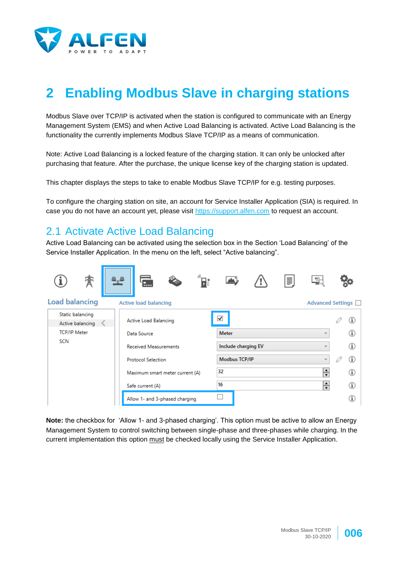

# **2 Enabling Modbus Slave in charging stations**

Modbus Slave over TCP/IP is activated when the station is configured to communicate with an Energy Management System (EMS) and when Active Load Balancing is activated. Active Load Balancing is the functionality the currently implements Modbus Slave TCP/IP as a means of communication.

Note: Active Load Balancing is a locked feature of the charging station. It can only be unlocked after purchasing that feature. After the purchase, the unique license key of the charging station is updated.

This chapter displays the steps to take to enable Modbus Slave TCP/IP for e.g. testing purposes.

To configure the charging station on site, an account for Service Installer Application (SIA) is required. In case you do not have an account yet, please visit [https://support.alfen.com](https://support.alfen.com/) to request an account.

#### 2.1 Activate Active Load Balancing

Active Load Balancing can be activated using the selection box in the Section 'Load Balancing' of the Service Installer Application. In the menu on the left, select "Active balancing".



**Note:** the checkbox for 'Allow 1- and 3-phased charging'. This option must be active to allow an Energy Management System to control switching between single-phase and three-phases while charging. In the current implementation this option must be checked locally using the Service Installer Application.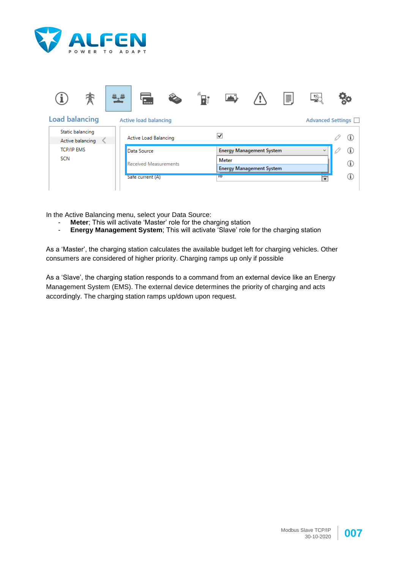



In the Active Balancing menu, select your Data Source:

- **Meter**; This will activate 'Master' role for the charging station
- **Energy Management System**; This will activate 'Slave' role for the charging station

As a 'Master', the charging station calculates the available budget left for charging vehicles. Other consumers are considered of higher priority. Charging ramps up only if possible

As a 'Slave', the charging station responds to a command from an external device like an Energy Management System (EMS). The external device determines the priority of charging and acts accordingly. The charging station ramps up/down upon request.



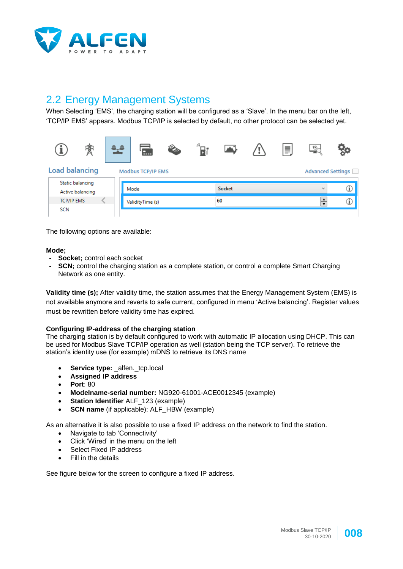

## 2.2 Energy Management Systems

When Selecting 'EMS', the charging station will be configured as a 'Slave'. In the menu bar on the left, 'TCP/IP EMS' appears. Modbus TCP/IP is selected by default, no other protocol can be selected yet.



The following options are available:

#### **Mode;**

- Socket: control each socket
- **SCN**; control the charging station as a complete station, or control a complete Smart Charging Network as one entity.

**Validity time (s);** After validity time, the station assumes that the Energy Management System (EMS) is not available anymore and reverts to safe current, configured in menu 'Active balancing'. Register values must be rewritten before validity time has expired.

#### **Configuring IP-address of the charging station**

The charging station is by default configured to work with automatic IP allocation using DHCP. This can be used for Modbus Slave TCP/IP operation as well (station being the TCP server). To retrieve the station's identity use (for example) mDNS to retrieve its DNS name

- **Service type: \_alfen.\_tcp.local**
- **Assigned IP address**
- **Port**: 80
- **Modelname-serial number:** NG920-61001-ACE0012345 (example)
- **Station Identifier** ALF\_123 (example)
- **SCN name** (if applicable): ALF\_HBW (example)

As an alternative it is also possible to use a fixed IP address on the network to find the station.

- Navigate to tab 'Connectivity'
- Click 'Wired' in the menu on the left
- Select Fixed IP address
- Fill in the details

See figure below for the screen to configure a fixed IP address.

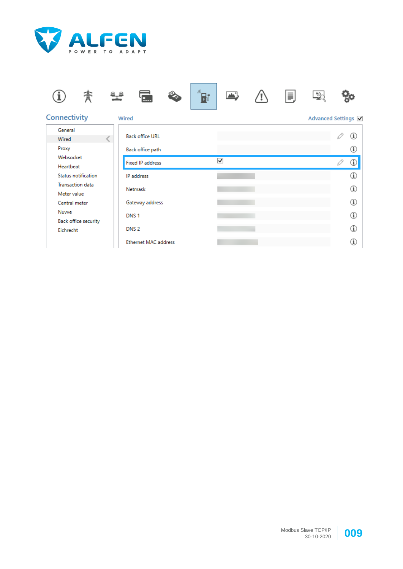



Ethernet MAC address



 $\circled{1}$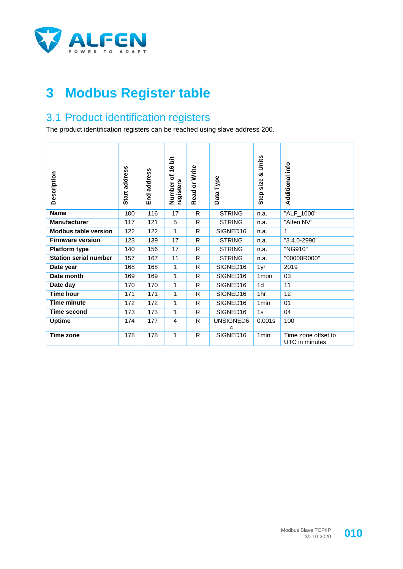

# **3 Modbus Register table**

## 3.1 Product identification registers

The product identification registers can be reached using slave address 200.

| Description                  | Start address | address<br>End | ä<br>$\bullet$<br>÷<br>৳<br>registers<br>Number | Read or Write | Type<br>Data   | Units<br>ಳ<br>Step size | Additional info                       |
|------------------------------|---------------|----------------|-------------------------------------------------|---------------|----------------|-------------------------|---------------------------------------|
| <b>Name</b>                  | 100           | 116            | 17                                              | R             | <b>STRING</b>  | n.a.                    | "ALF_1000"                            |
| <b>Manufacturer</b>          | 117           | 121            | 5                                               | R.            | <b>STRING</b>  | n.a.                    | "Alfen NV"                            |
| <b>Modbus table version</b>  | 122           | 122            | 1                                               | R.            | SIGNED16       | n.a.                    | 1                                     |
| <b>Firmware version</b>      | 123           | 139            | 17                                              | R.            | <b>STRING</b>  | n.a.                    | "3.4.0-2990"                          |
| <b>Platform type</b>         | 140           | 156            | 17                                              | R.            | <b>STRING</b>  | n.a.                    | "NG910"                               |
| <b>Station serial number</b> | 157           | 167            | 11                                              | R.            | <b>STRING</b>  | n.a.                    | "00000R000"                           |
| Date year                    | 168           | 168            | 1                                               | R.            | SIGNED16       | 1yr                     | 2019                                  |
| Date month                   | 169           | 169            | 1                                               | R.            | SIGNED16       | 1 <sub>mon</sub>        | 03                                    |
| Date day                     | 170           | 170            | 1                                               | R.            | SIGNED16       | 1 <sub>d</sub>          | 11                                    |
| <b>Time hour</b>             | 171           | 171            | 1                                               | R.            | SIGNED16       | 1hr                     | 12                                    |
| <b>Time minute</b>           | 172           | 172            | 1                                               | R.            | SIGNED16       | 1 <sub>min</sub>        | 01                                    |
| <b>Time second</b>           | 173           | 173            | 1                                               | R.            | SIGNED16       | 1s                      | 04                                    |
| <b>Uptime</b>                | 174           | 177            | 4                                               | R.            | UNSIGNED6<br>4 | 0.001s                  | 100                                   |
| Time zone                    | 178           | 178            | 1                                               | R             | SIGNED16       | 1 <sub>min</sub>        | Time zone offset to<br>UTC in minutes |

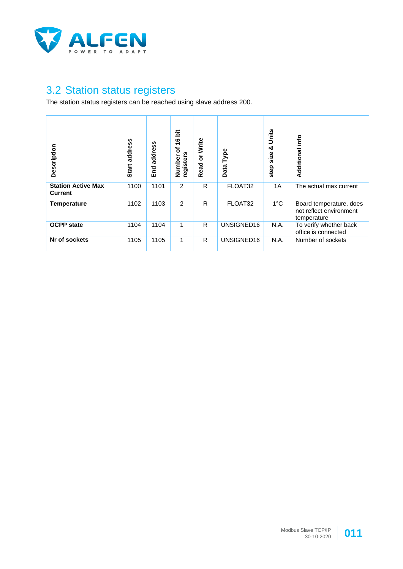

## 3.2 Station status registers

The station status registers can be reached using slave address 200.

| Description                                 | address<br><b>Start</b> | address<br>End | 흕<br>ဖ<br>÷<br>৳<br>registers<br>Number | Write<br>$\overline{\sigma}$<br>Read | Type<br>Data | Units<br>య<br>size<br>step | info<br>Additional                                                |
|---------------------------------------------|-------------------------|----------------|-----------------------------------------|--------------------------------------|--------------|----------------------------|-------------------------------------------------------------------|
| <b>Station Active Max</b><br><b>Current</b> | 1100                    | 1101           | $\overline{2}$                          | R                                    | FLOAT32      | 1A                         | The actual max current                                            |
| <b>Temperature</b>                          | 1102                    | 1103           | 2                                       | R                                    | FLOAT32      | $1^{\circ}$ C              | Board temperature, does<br>not reflect environment<br>temperature |
| <b>OCPP</b> state                           | 1104                    | 1104           | 1                                       | R                                    | UNSIGNED16   | N.A.                       | To verify whether back<br>office is connected                     |
| Nr of sockets                               | 1105                    | 1105           | 1                                       | R                                    | UNSIGNED16   | N.A.                       | Number of sockets                                                 |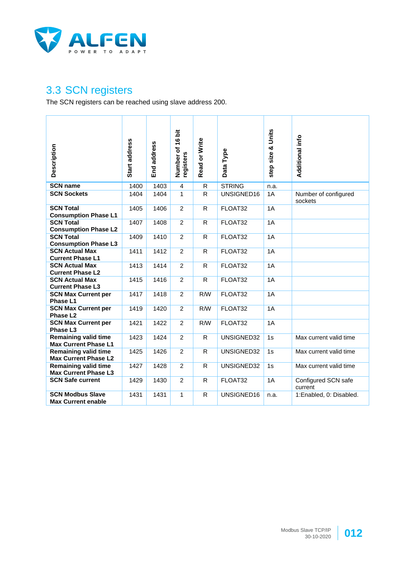

#### 3.3 SCN registers

The SCN registers can be reached using slave address 200.

| Description                                                | Start address | End address | ö<br>Number of 16<br>registers | Read or Write | Data Type     | step size & Units | Additional info                 |
|------------------------------------------------------------|---------------|-------------|--------------------------------|---------------|---------------|-------------------|---------------------------------|
| <b>SCN name</b>                                            | 1400          | 1403        | 4                              | $\mathsf{R}$  | <b>STRING</b> | n.a.              |                                 |
| <b>SCN Sockets</b>                                         | 1404          | 1404        | 1                              | R             | UNSIGNED16    | 1A                | Number of configured<br>sockets |
| <b>SCN Total</b><br><b>Consumption Phase L1</b>            | 1405          | 1406        | $\overline{2}$                 | $\mathsf{R}$  | FLOAT32       | 1A                |                                 |
| <b>SCN Total</b><br><b>Consumption Phase L2</b>            | 1407          | 1408        | 2                              | R             | FLOAT32       | 1A                |                                 |
| <b>SCN Total</b><br><b>Consumption Phase L3</b>            | 1409          | 1410        | 2                              | R.            | FLOAT32       | 1A                |                                 |
| <b>SCN Actual Max</b><br><b>Current Phase L1</b>           | 1411          | 1412        | $\overline{2}$                 | R             | FLOAT32       | 1A                |                                 |
| <b>SCN Actual Max</b><br><b>Current Phase L2</b>           | 1413          | 1414        | $\overline{2}$                 | $\mathsf{R}$  | FLOAT32       | 1A                |                                 |
| <b>SCN Actual Max</b><br><b>Current Phase L3</b>           | 1415          | 1416        | 2                              | R             | FLOAT32       | 1A                |                                 |
| <b>SCN Max Current per</b><br>Phase L1                     | 1417          | 1418        | $\overline{c}$                 | R/W           | FLOAT32       | 1A                |                                 |
| <b>SCN Max Current per</b><br>Phase L <sub>2</sub>         | 1419          | 1420        | $\overline{2}$                 | R/W           | FLOAT32       | 1A                |                                 |
| <b>SCN Max Current per</b><br>Phase L <sub>3</sub>         | 1421          | 1422        | $\overline{2}$                 | R/W           | FLOAT32       | 1A                |                                 |
| <b>Remaining valid time</b><br><b>Max Current Phase L1</b> | 1423          | 1424        | 2                              | R             | UNSIGNED32    | 1s                | Max current valid time          |
| <b>Remaining valid time</b><br><b>Max Current Phase L2</b> | 1425          | 1426        | 2                              | R             | UNSIGNED32    | 1s                | Max current valid time          |
| <b>Remaining valid time</b><br><b>Max Current Phase L3</b> | 1427          | 1428        | $\overline{c}$                 | R             | UNSIGNED32    | 1s                | Max current valid time          |
| <b>SCN Safe current</b>                                    | 1429          | 1430        | $\overline{c}$                 | R             | FLOAT32       | 1A                | Configured SCN safe<br>current  |
| <b>SCN Modbus Slave</b><br><b>Max Current enable</b>       | 1431          | 1431        | $\mathbf{1}$                   | R             | UNSIGNED16    | n.a.              | 1:Enabled, 0: Disabled.         |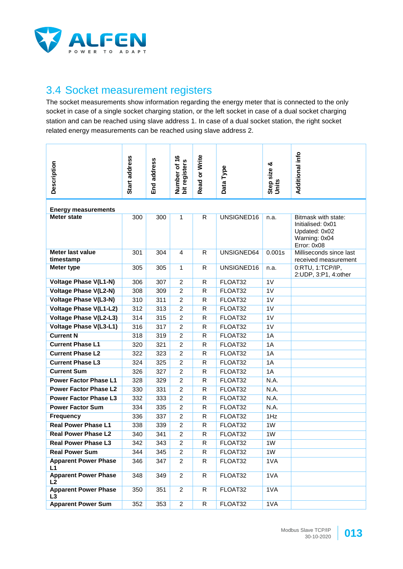

#### 3.4 Socket measurement registers

The socket measurements show information regarding the energy meter that is connected to the only socket in case of a single socket charging station, or the left socket in case of a dual socket charging station and can be reached using slave address 1. In case of a dual socket station, the right socket related energy measurements can be reached using slave address 2.

| Description                                      | Start address | address<br>End<br>Ei | Number of 16<br>bit registers | Read or Write | Type<br>Data <sup>-</sup> | Step size &<br>Units | Additional info                                                    |  |  |
|--------------------------------------------------|---------------|----------------------|-------------------------------|---------------|---------------------------|----------------------|--------------------------------------------------------------------|--|--|
|                                                  |               |                      |                               |               |                           |                      |                                                                    |  |  |
| <b>Energy measurements</b><br><b>Meter state</b> | 300           | 300                  | $\mathbf{1}$                  | $\mathsf{R}$  | UNSIGNED16                | n.a.                 | Bitmask with state:                                                |  |  |
|                                                  |               |                      |                               |               |                           |                      | Initialised: 0x01<br>Updated: 0x02<br>Warning: 0x04<br>Error: 0x08 |  |  |
| Meter last value<br>timestamp                    | 301           | 304                  | 4                             | R             | UNSIGNED64                | 0.001s               | Milliseconds since last<br>received measurement                    |  |  |
| <b>Meter type</b>                                | 305           | 305                  | $\mathbf{1}$                  | $\mathsf{R}$  | UNSIGNED16                | n.a.                 | 0:RTU, 1:TCP/IP,<br>2:UDP, 3:P1, 4:other                           |  |  |
| <b>Voltage Phase V(L1-N)</b>                     | 306           | 307                  | $\overline{c}$                | $\mathsf{R}$  | FLOAT32                   | 1V                   |                                                                    |  |  |
| <b>Voltage Phase V(L2-N)</b>                     | 308           | 309                  | $\overline{2}$                | $\mathsf{R}$  | FLOAT32                   | 1V                   |                                                                    |  |  |
| <b>Voltage Phase V(L3-N)</b>                     | 310           | 311                  | $\overline{2}$                | $\mathsf{R}$  | FLOAT32                   | 1V                   |                                                                    |  |  |
| <b>Voltage Phase V(L1-L2)</b>                    | 312           | 313                  | $\overline{c}$                | R             | FLOAT32                   | 1V                   |                                                                    |  |  |
| <b>Voltage Phase V(L2-L3)</b>                    | 314           | 315                  | $\overline{c}$                | R             | FLOAT32                   | 1V                   |                                                                    |  |  |
| <b>Voltage Phase V(L3-L1)</b>                    | 316           | 317                  | $\overline{c}$                | $\mathsf{R}$  | FLOAT32                   | 1V                   |                                                                    |  |  |
| <b>Current N</b>                                 | 318           | 319                  | $\overline{c}$                | $\mathsf{R}$  | FLOAT32                   | 1A                   |                                                                    |  |  |
| <b>Current Phase L1</b>                          | 320           | 321                  | $\overline{c}$                | R             | FLOAT32                   | 1A                   |                                                                    |  |  |
| <b>Current Phase L2</b>                          | 322           | 323                  | $\overline{c}$                | R             | FLOAT32                   | 1A                   |                                                                    |  |  |
| <b>Current Phase L3</b>                          | 324           | 325                  | $\overline{2}$                | $\mathsf{R}$  | FLOAT32                   | 1A                   |                                                                    |  |  |
| <b>Current Sum</b>                               | 326           | 327                  | $\overline{c}$                | $\mathsf{R}$  | FLOAT32                   | 1A                   |                                                                    |  |  |
| <b>Power Factor Phase L1</b>                     | 328           | 329                  | $\overline{c}$                | $\mathsf{R}$  | FLOAT32                   | N.A.                 |                                                                    |  |  |
| <b>Power Factor Phase L2</b>                     | 330           | 331                  | $\overline{c}$                | R             | FLOAT32                   | N.A.                 |                                                                    |  |  |
| <b>Power Factor Phase L3</b>                     | 332           | 333                  | $\overline{c}$                | R             | FLOAT32                   | N.A.                 |                                                                    |  |  |
| <b>Power Factor Sum</b>                          | 334           | 335                  | $\overline{c}$                | $\mathsf{R}$  | FLOAT32                   | N.A.                 |                                                                    |  |  |
| <b>Frequency</b>                                 | 336           | 337                  | $\overline{c}$                | R             | FLOAT32                   | 1Hz                  |                                                                    |  |  |
| <b>Real Power Phase L1</b>                       | 338           | 339                  | $\overline{c}$                | $\mathsf{R}$  | FLOAT32                   | 1W                   |                                                                    |  |  |
| <b>Real Power Phase L2</b>                       | 340           | 341                  | $\overline{c}$                | R             | FLOAT32                   | 1W                   |                                                                    |  |  |
| <b>Real Power Phase L3</b>                       | 342           | 343                  | $\overline{2}$                | R             | FLOAT32                   | 1W                   |                                                                    |  |  |
| <b>Real Power Sum</b>                            | 344           | 345                  | $\overline{2}$                | R             | FLOAT32                   | 1W                   |                                                                    |  |  |
| <b>Apparent Power Phase</b><br>L1                | 346           | 347                  | $\overline{2}$                | R             | FLOAT32                   | 1VA                  |                                                                    |  |  |
| <b>Apparent Power Phase</b><br>L2                | 348           | 349                  | $\overline{2}$                | $\mathsf{R}$  | FLOAT32                   | 1VA                  |                                                                    |  |  |
| <b>Apparent Power Phase</b><br>L3                | 350           | 351                  | $\overline{2}$                | R             | FLOAT32                   | 1VA                  |                                                                    |  |  |
| <b>Apparent Power Sum</b>                        | 352           | 353                  | $\overline{a}$                | R             | FLOAT32                   | 1VA                  |                                                                    |  |  |

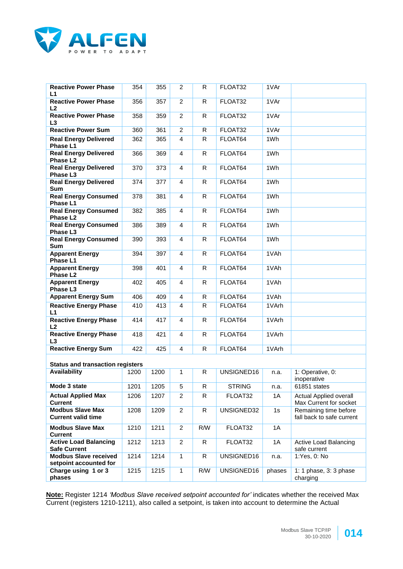

| <b>Reactive Power Phase</b><br>L1                      | 354  | 355  | 2              | R            | FLOAT32       | 1VAr   |                                                    |
|--------------------------------------------------------|------|------|----------------|--------------|---------------|--------|----------------------------------------------------|
| <b>Reactive Power Phase</b><br>L <sub>2</sub>          | 356  | 357  | $\overline{2}$ | R            | FLOAT32       | 1VAr   |                                                    |
| <b>Reactive Power Phase</b><br>L3                      | 358  | 359  | $\overline{2}$ | $\mathsf{R}$ | FLOAT32       | 1VAr   |                                                    |
| <b>Reactive Power Sum</b>                              | 360  | 361  | $\overline{2}$ | R            | FLOAT32       | 1VAr   |                                                    |
| <b>Real Energy Delivered</b><br>Phase L1               | 362  | 365  | 4              | R            | FLOAT64       | 1Wh    |                                                    |
| <b>Real Energy Delivered</b><br>Phase L <sub>2</sub>   | 366  | 369  | 4              | R            | FLOAT64       | 1Wh    |                                                    |
| <b>Real Energy Delivered</b><br>Phase L3               | 370  | 373  | 4              | R            | FLOAT64       | 1Wh    |                                                    |
| <b>Real Energy Delivered</b><br><b>Sum</b>             | 374  | 377  | 4              | R            | FLOAT64       | 1Wh    |                                                    |
| <b>Real Energy Consumed</b><br>Phase L1                | 378  | 381  | 4              | R            | FLOAT64       | 1Wh    |                                                    |
| <b>Real Energy Consumed</b><br>Phase L <sub>2</sub>    | 382  | 385  | 4              | R            | FLOAT64       | 1Wh    |                                                    |
| <b>Real Energy Consumed</b><br>Phase L3                | 386  | 389  | 4              | R            | FLOAT64       | 1Wh    |                                                    |
| <b>Real Energy Consumed</b><br><b>Sum</b>              | 390  | 393  | 4              | R            | FLOAT64       | 1Wh    |                                                    |
| <b>Apparent Energy</b><br>Phase L1                     | 394  | 397  | 4              | $\mathsf{R}$ | FLOAT64       | 1VAh   |                                                    |
| <b>Apparent Energy</b><br>Phase L <sub>2</sub>         | 398  | 401  | 4              | R            | FLOAT64       | 1VAh   |                                                    |
| <b>Apparent Energy</b><br>Phase L3                     | 402  | 405  | 4              | $\mathsf{R}$ | FLOAT64       | 1VAh   |                                                    |
| <b>Apparent Energy Sum</b>                             | 406  | 409  | 4              | R            | FLOAT64       | 1VAh   |                                                    |
| <b>Reactive Energy Phase</b><br>L1                     | 410  | 413  | 4              | R            | FLOAT64       | 1VArh  |                                                    |
| <b>Reactive Energy Phase</b><br>L2                     | 414  | 417  | 4              | R.           | FLOAT64       | 1VArh  |                                                    |
| <b>Reactive Energy Phase</b><br>L3                     | 418  | 421  | 4              | R            | FLOAT64       | 1VArh  |                                                    |
| <b>Reactive Energy Sum</b>                             | 422  | 425  | 4              | R            | FLOAT64       | 1VArh  |                                                    |
| <b>Status and transaction registers</b>                |      |      |                |              |               |        |                                                    |
| <b>Availability</b>                                    | 1200 | 1200 | 1              | R.           | UNSIGNED16    | n.a.   | 1: Operative, 0:<br>inoperative                    |
| Mode 3 state                                           | 1201 | 1205 | $\overline{5}$ | $\mathsf{R}$ | <b>STRING</b> | n.a.   | 61851 states                                       |
| <b>Actual Applied Max</b><br><b>Current</b>            | 1206 | 1207 | $\overline{2}$ | R            | FLOAT32       | 1A     | Actual Applied overall<br>Max Current for socket   |
| <b>Modbus Slave Max</b><br><b>Current valid time</b>   | 1208 | 1209 | $\overline{c}$ | $\mathsf{R}$ | UNSIGNED32    | 1s     | Remaining time before<br>fall back to safe current |
| <b>Modbus Slave Max</b><br><b>Current</b>              | 1210 | 1211 | 2              | R/W          | FLOAT32       | 1A     |                                                    |
| <b>Active Load Balancing</b><br><b>Safe Current</b>    | 1212 | 1213 | $\overline{2}$ | ${\sf R}$    | FLOAT32       | 1A     | <b>Active Load Balancing</b><br>safe current       |
| <b>Modbus Slave received</b><br>setpoint accounted for | 1214 | 1214 | 1              | R            | UNSIGNED16    | n.a.   | 1:Yes, 0: No                                       |
| Charge using 1 or 3<br>phases                          | 1215 | 1215 | $\mathbf{1}$   | R/W          | UNSIGNED16    | phases | 1: 1 phase, 3: 3 phase<br>charging                 |

**Note:** Register 1214 *'Modbus Slave received setpoint accounted for'* indicates whether the received Max Current (registers 1210-1211), also called a setpoint, is taken into account to determine the Actual